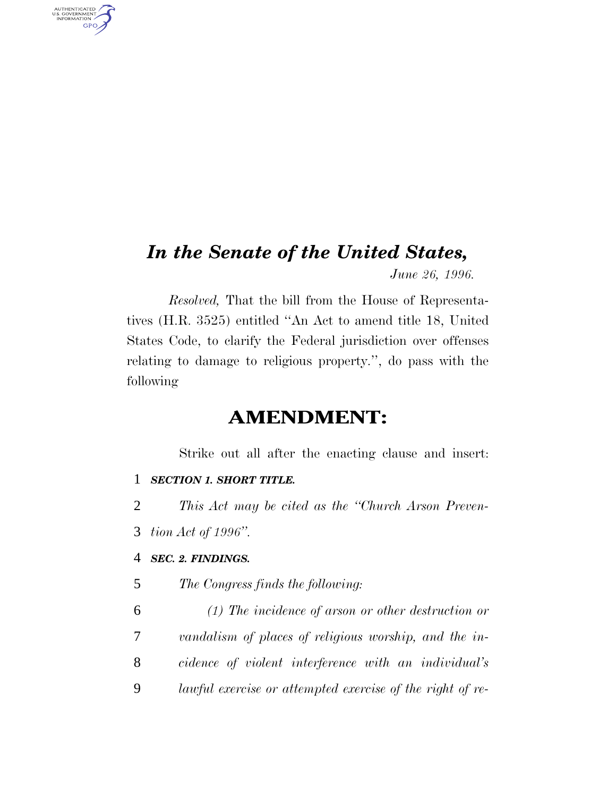## *In the Senate of the United States, June 26, 1996.*

*Resolved,* That the bill from the House of Representatives (H.R. 3525) entitled ''An Act to amend title 18, United States Code, to clarify the Federal jurisdiction over offenses relating to damage to religious property.'', do pass with the following

## **AMENDMENT:**

Strike out all after the enacting clause and insert:

#### 1 *SECTION 1. SHORT TITLE.*

- 2 *This Act may be cited as the ''Church Arson Preven-*
- 3 *tion Act of 1996''.*

AUTHENTICATED<br>U.S. GOVERNMENT<br>INFORMATION **GPO** 

#### 4 *SEC. 2. FINDINGS.*

- 5 *The Congress finds the following:*
- 6 *(1) The incidence of arson or other destruction or* 7 *vandalism of places of religious worship, and the in-*8 *cidence of violent interference with an individual's* 9 *lawful exercise or attempted exercise of the right of re-*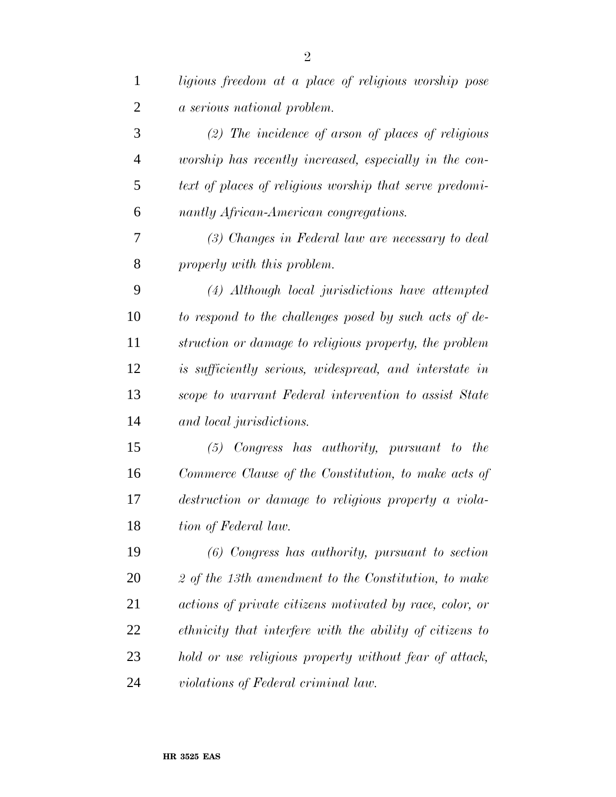| $\mathbf{1}$   | ligious freedom at a place of religious worship pose     |
|----------------|----------------------------------------------------------|
| $\overline{2}$ | a serious national problem.                              |
| 3              | $(2)$ The incidence of arson of places of religious      |
| $\overline{4}$ | worship has recently increased, especially in the con-   |
| 5              | text of places of religious worship that serve predomi-  |
| 6              | nantly African-American congregations.                   |
| 7              | (3) Changes in Federal law are necessary to deal         |
| 8              | properly with this problem.                              |
| 9              | (4) Although local jurisdictions have attempted          |
| 10             | to respond to the challenges posed by such acts of de-   |
| 11             | struction or damage to religious property, the problem   |
| 12             | is sufficiently serious, widespread, and interstate in   |
| 13             | scope to warrant Federal intervention to assist State    |
| 14             | and local jurisdictions.                                 |
| 15             | $(5)$ Congress has authority, pursuant to<br>the         |
| 16             | Commerce Clause of the Constitution, to make acts of     |
| 17             | destruction or damage to religious property a viola-     |
| 18             | tion of Federal law.                                     |
| 19             | $(6)$ Congress has authority, pursuant to section        |
| 20             | 2 of the 13th amendment to the Constitution, to make     |
| 21             | actions of private citizens motivated by race, color, or |
| 22             | ethnicity that interfere with the ability of citizens to |
| 23             | hold or use religious property without fear of attack,   |
| 24             | violations of Federal criminal law.                      |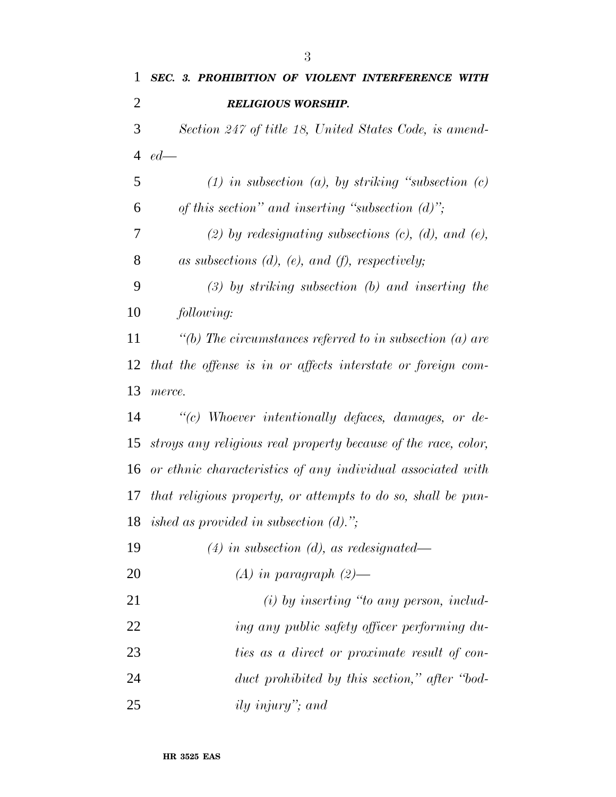| $\mathbf{1}$   | SEC. 3. PROHIBITION OF VIOLENT INTERFERENCE<br>WITH            |
|----------------|----------------------------------------------------------------|
| $\overline{2}$ | <b>RELIGIOUS WORSHIP.</b>                                      |
| 3              | Section 247 of title 18, United States Code, is amend-         |
| $\overline{4}$ | $ed$ —                                                         |
| 5              | $(1)$ in subsection $(a)$ , by striking "subsection $(c)$      |
| 6              | of this section" and inserting "subsection $(d)$ ";            |
| 7              | $(2)$ by redesignating subsections $(c)$ , $(d)$ , and $(e)$ , |
| 8              | as subsections $(d)$ , $(e)$ , and $(f)$ , respectively;       |
| 9              | $(3)$ by striking subsection $(b)$ and inserting the           |
| 10             | following:                                                     |
| 11             | "(b) The circumstances referred to in subsection (a) are       |
| 12             | that the offense is in or affects interstate or foreign com-   |
| 13             | merce.                                                         |
| 14             | $\lq\lq c$ Whoever intentionally defaces, damages, or de-      |
| 15             | stroys any religious real property because of the race, color, |
|                | 16 or ethnic characteristics of any individual associated with |
| 17             | that religious property, or attempts to do so, shall be pun-   |
|                | 18 ished as provided in subsection $(d)$ .";                   |
| 19             | $(4)$ in subsection (d), as redesignated—                      |
| 20             | $(A)$ in paragraph $(2)$ —                                     |
| 21             | $(i)$ by inserting "to any person, includ-                     |
| 22             | ing any public safety officer performing du-                   |
| 23             | ties as a direct or proximate result of con-                   |
| 24             | duct prohibited by this section," after "bod-                  |
|                |                                                                |

*ily injury''; and*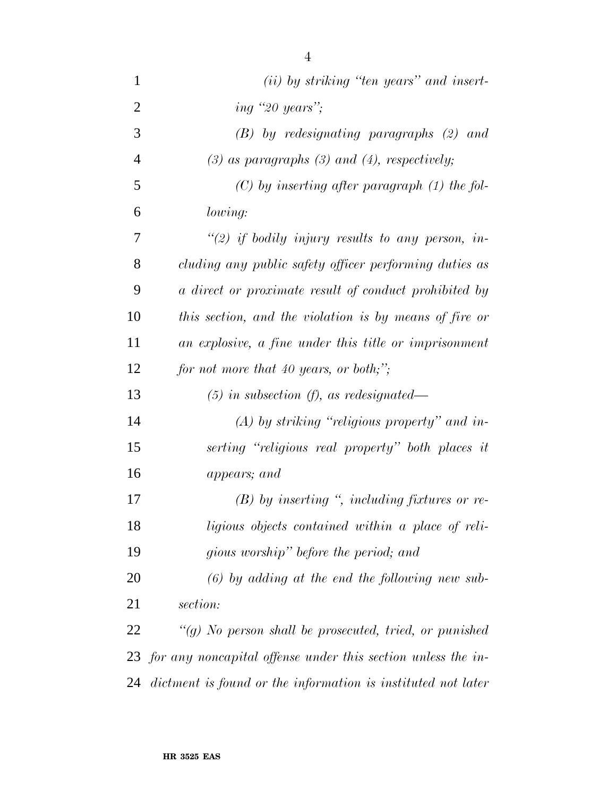| 1              | (ii) by striking "ten years" and insert-                        |
|----------------|-----------------------------------------------------------------|
| $\overline{2}$ | ing "20 years";                                                 |
| 3              | $(B)$ by redesignating paragraphs $(2)$ and                     |
| $\overline{4}$ | $(3)$ as paragraphs $(3)$ and $(4)$ , respectively;             |
| 5              | $(C)$ by inserting after paragraph $(1)$ the fol-               |
| 6              | lowing:                                                         |
| 7              | "(2) if bodily injury results to any person, in-                |
| 8              | cluding any public safety officer performing duties as          |
| 9              | a direct or proximate result of conduct prohibited by           |
| 10             | this section, and the violation is by means of fire or          |
| 11             | an explosive, a fine under this title or imprisonment           |
| 12             | for not more that 40 years, or both;";                          |
| 13             | $(5)$ in subsection (f), as redesignated—                       |
| 14             | $(A)$ by striking "religious property" and in-                  |
| 15             | serting "religious real property" both places it                |
| 16             | appears; and                                                    |
| 17             | $(B)$ by inserting ", including fixtures or re-                 |
| 18             | ligious objects contained within a place of reli-               |
| 19             | gious worship" before the period; and                           |
| 20             | $(6)$ by adding at the end the following new sub-               |
| 21             | section:                                                        |
| 22             | "(g) No person shall be prosecuted, tried, or punished          |
|                | 23 for any noncapital offense under this section unless the in- |
| 24             | dictment is found or the information is instituted not later    |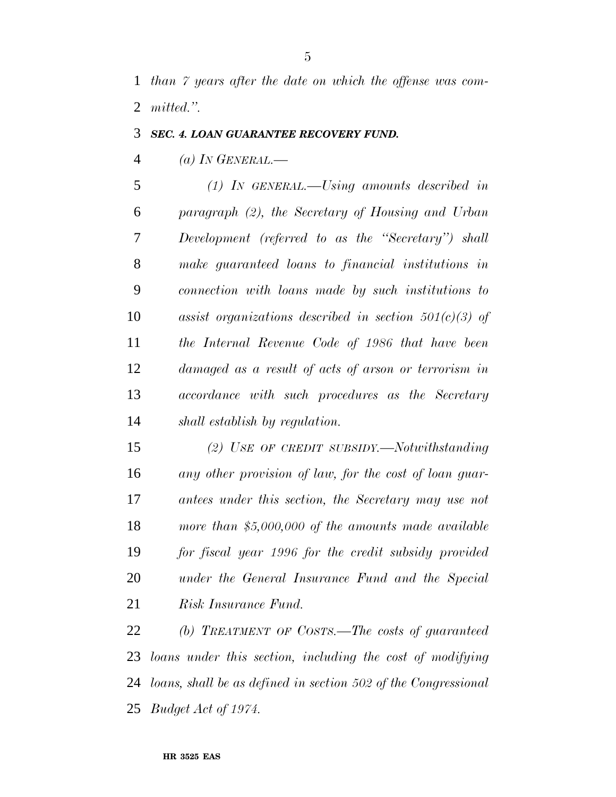*than 7 years after the date on which the offense was com-mitted.''.*

### *SEC. 4. LOAN GUARANTEE RECOVERY FUND.*

*(a) IN GENERAL.—*

 *(1) IN GENERAL.—Using amounts described in paragraph (2), the Secretary of Housing and Urban Development (referred to as the ''Secretary'') shall make guaranteed loans to financial institutions in connection with loans made by such institutions to assist organizations described in section 501(c)(3) of the Internal Revenue Code of 1986 that have been damaged as a result of acts of arson or terrorism in accordance with such procedures as the Secretary shall establish by regulation.*

 *(2) USE OF CREDIT SUBSIDY.—Notwithstanding any other provision of law, for the cost of loan guar- antees under this section, the Secretary may use not more than \$5,000,000 of the amounts made available for fiscal year 1996 for the credit subsidy provided under the General Insurance Fund and the Special Risk Insurance Fund.*

 *(b) TREATMENT OF COSTS.—The costs of guaranteed loans under this section, including the cost of modifying loans, shall be as defined in section 502 of the Congressional Budget Act of 1974.*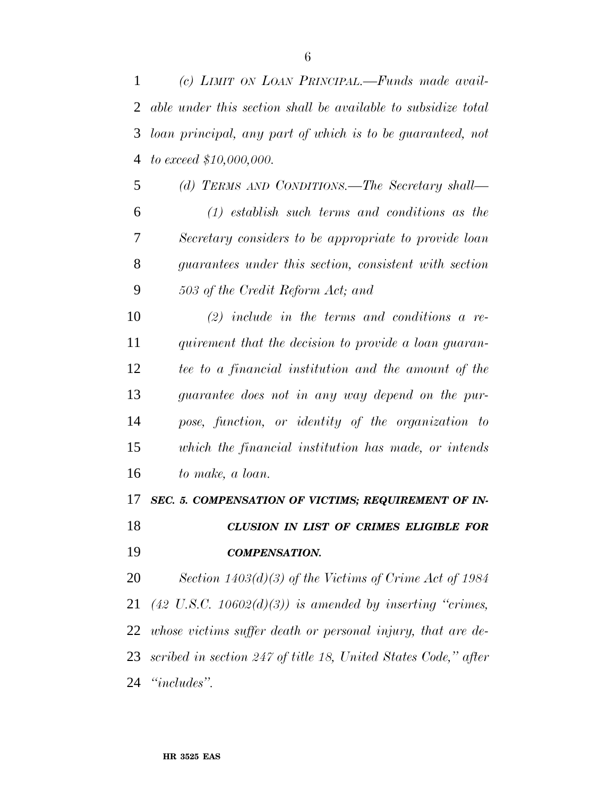*(c) LIMIT ON LOAN PRINCIPAL.—Funds made avail- able under this section shall be available to subsidize total loan principal, any part of which is to be guaranteed, not to exceed \$10,000,000.*

 *(d) TERMS AND CONDITIONS.—The Secretary shall— (1) establish such terms and conditions as the Secretary considers to be appropriate to provide loan guarantees under this section, consistent with section 503 of the Credit Reform Act; and*

 *(2) include in the terms and conditions a re- quirement that the decision to provide a loan guaran- tee to a financial institution and the amount of the guarantee does not in any way depend on the pur- pose, function, or identity of the organization to which the financial institution has made, or intends to make, a loan.*

*SEC. 5. COMPENSATION OF VICTIMS; REQUIREMENT OF IN-*

 *CLUSION IN LIST OF CRIMES ELIGIBLE FOR COMPENSATION.*

 *Section 1403(d)(3) of the Victims of Crime Act of 1984 (42 U.S.C. 10602(d)(3)) is amended by inserting ''crimes, whose victims suffer death or personal injury, that are de- scribed in section 247 of title 18, United States Code,'' after ''includes''.*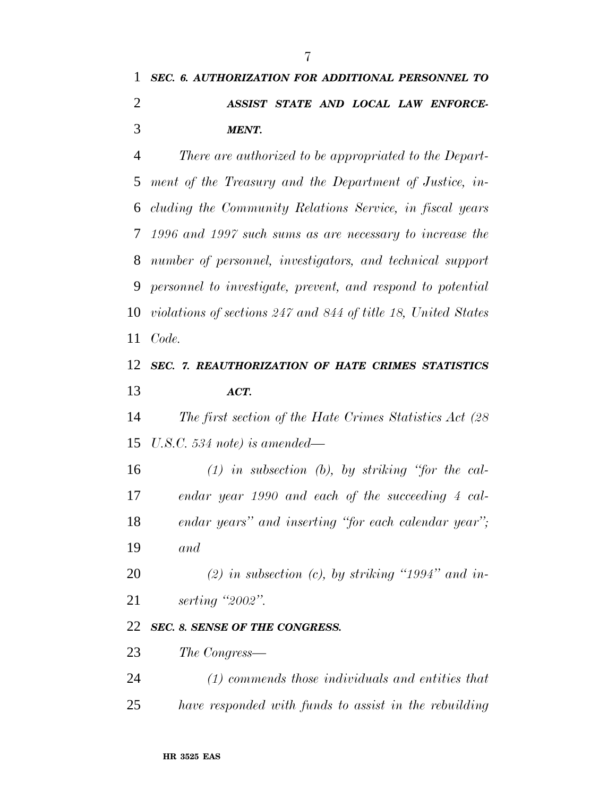# *SEC. 6. AUTHORIZATION FOR ADDITIONAL PERSONNEL TO ASSIST STATE AND LOCAL LAW ENFORCE-MENT.*

 *There are authorized to be appropriated to the Depart- ment of the Treasury and the Department of Justice, in- cluding the Community Relations Service, in fiscal years 1996 and 1997 such sums as are necessary to increase the number of personnel, investigators, and technical support personnel to investigate, prevent, and respond to potential violations of sections 247 and 844 of title 18, United States Code.*

## *SEC. 7. REAUTHORIZATION OF HATE CRIMES STATISTICS ACT.*

 *The first section of the Hate Crimes Statistics Act (28 U.S.C. 534 note) is amended—*

 *(1) in subsection (b), by striking ''for the cal- endar year 1990 and each of the succeeding 4 cal- endar years'' and inserting ''for each calendar year''; and*

 *(2) in subsection (c), by striking ''1994'' and in-serting ''2002''.*

#### *SEC. 8. SENSE OF THE CONGRESS.*

*The Congress—*

- *(1) commends those individuals and entities that*
- *have responded with funds to assist in the rebuilding*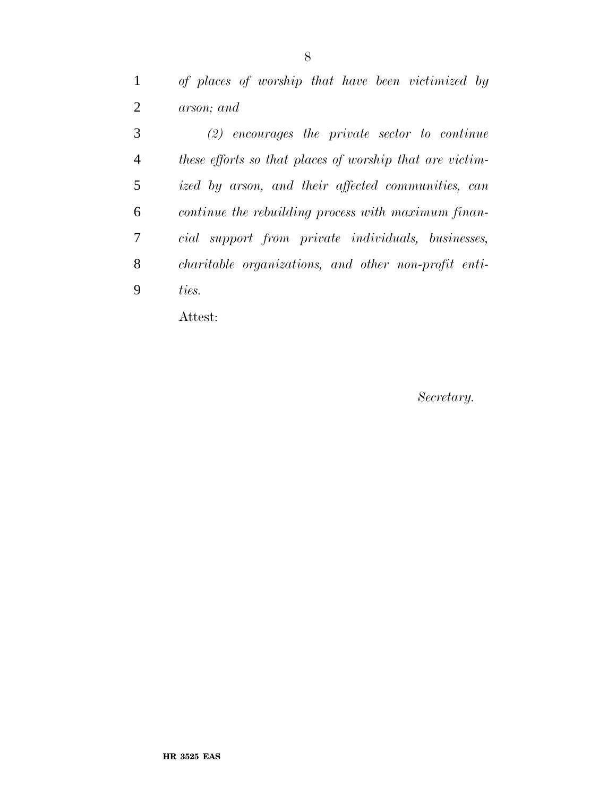*of places of worship that have been victimized by arson; and*

 *(2) encourages the private sector to continue these efforts so that places of worship that are victim- ized by arson, and their affected communities, can continue the rebuilding process with maximum finan- cial support from private individuals, businesses, charitable organizations, and other non-profit enti-ties.*

Attest:

*Secretary.*